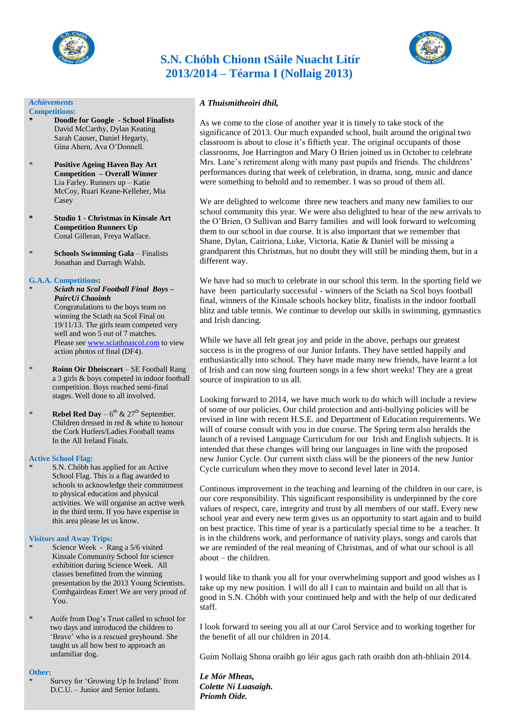

# **S.N. Chóbh Chionn tSáile Nuacht Litír 2013/2014 – Téarma I (Nollaig 2013)**



# *Achievements*

# **Competitions:**

- **\* Doodle for Google - School Finalists** David McCarthy, Dylan Keating Sarah Causer, Daniel Hegarty, Gina Ahern, Ava O'Donnell.
- \* **Positive Ageing Haven Bay Art Competition – Overall Winner** Lia Farley. Runners up – Katie McCoy, Ruari Keane-Kelleher, Mia Casey
- **\* Studio 1 - Christmas in Kinsale Art Competition Runners Up** Conal Gilleran, Freya Wallace.
- **Schools Swimming Gala** Finalists Jonathan and Darragh Walsh.

#### **G.A.A. Competitions:**

\* *Sciath na Scol Football Final Boys – PaírcUí Chaoimh* Congratulations to the boys team on winning the Sciath na Scol Final on 19/11/13. The girls team competed very well and won 5 out of 7 matches. Please see [www.sciathnascol.com](http://www.sciathnascol.com/) to view action photos of final (DF4).

- **Roinn Oir Dheisceart** SE Football Rang a 3 girls & boys competed in indoor football competition. Boys reached semi-final stages. Well done to all involved.
- \* **Rebel Red Day**  $6^{th}$  & 27<sup>th</sup> September. Children dressed in red & white to honour the Cork Hurlers/Ladies Football teams In the All Ireland Finals.

# **Active School Flag:**

S.N. Chóbh has applied for an Active School Flag. This is a flag awarded to schools to acknowledge their commitment to physical education and physical activities. We will organise an active week in the third term. If you have expertise in this area please let us know.

#### **Visitors and Away Trips:**

- Science Week Rang a 5/6 visited Kinsale Community School for science exhibition during Science Week. All classes benefitted from the winning presentation by the 2013 Young Scientists. Comhgairdeas Emer! We are very proud of You.
- Aoife from Dog's Trust called to school for two days and introduced the children to 'Brave' who is a rescued greyhound. She taught us all how best to approach an unfamiliar dog.

# **Other:**

Survey for 'Growing Up In Ireland' from D.C.U. – Junior and Senior Infants.

# *A Thuismitheoirí dhíl,*

As we come to the close of another year it is timely to take stock of the significance of 2013. Our much expanded school, built around the original two classroom is about to close it's fiftieth year. The original occupants of those classrooms, Joe Harrington and Mary O Brien joined us in October to celebrate Mrs. Lane's retirement along with many past pupils and friends. The childrens' performances during that week of celebration, in drama, song, music and dance were something to behold and to remember. I was so proud of them all.

We are delighted to welcome three new teachers and many new families to our school community this year. We were also delighted to hear of the new arrivals to the O'Brien, O Sullivan and Barry families and will look forward to welcoming them to our school in due course. It is also important that we remember that Shane, Dylan, Caitriona, Luke, Victoria, Katie & Daniel will be missing a grandparent this Christmas, but no doubt they will still be minding them, but in a different way.

We have had so much to celebrate in our school this term. In the sporting field we have been particularly successful - winners of the Sciath na Scol boys football final, winners of the Kinsale schools hockey blitz, finalists in the indoor football blitz and table tennis. We continue to develop our skills in swimming, gymnastics and Irish dancing.

While we have all felt great joy and pride in the above, perhaps our greatest success is in the progress of our Junior Infants. They have settled happily and enthusiastically into school. They have made many new friends, have learnt a lot of Irish and can now sing fourteen songs in a few short weeks! They are a great source of inspiration to us all.

Looking forward to 2014, we have much work to do which will include a review of some of our policies. Our child protection and anti-bullying policies will be revised in line with recent H.S.E. and Department of Education requirements. We will of course consult with you in due course. The Spring term also heralds the launch of a revised Language Curriculum for our Irish and English subjects. It is intended that these changes will bring our languages in line with the proposed new Junior Cycle. Our current sixth class will be the pioneers of the new Junior Cycle curriculum when they move to second level later in 2014.

Continous improvement in the teaching and learning of the children in our care, is our core responsibility. This significant responsibility is underpinned by the core values of respect, care, integrity and trust by all members of our staff. Every new school year and every new term gives us an opportunity to start again and to build on best practice. This time of year is a particularly special time to be a teacher. It is in the childrens work, and performance of nativity plays, songs and carols that we are reminded of the real meaning of Christmas, and of what our school is all about – the children.

I would like to thank you all for your overwhelming support and good wishes as I take up my new position. I will do all I can to maintain and build on all that is good in S.N. Chóbh with your continued help and with the help of our dedicated staff.

I look forward to seeing you all at our Carol Service and to working together for the benefit of all our children in 2014.

Guím Nollaig Shona oraibh go léir agus gach rath oraibh don ath-bhliain 2014.

*Le Mór Mheas, Colette Ní Luasaigh. Príomh Oide.*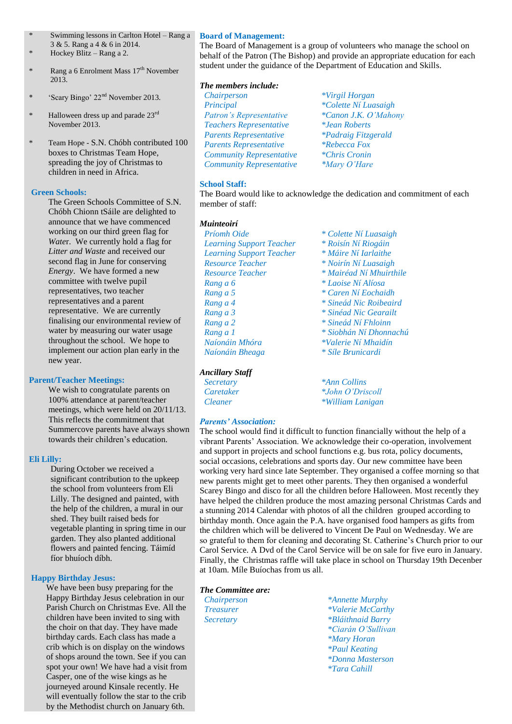- Swimming lessons in Carlton Hotel Rang a  $3 \& 5$ . Rang a 4  $\&$  6 in 2014.
- Hockey Blitz Rang a 2.
- Rang a 6 Enrolment Mass 17<sup>th</sup> November 2013.
- \* 'Scary Bingo' 22nd November 2013.
- \* Halloween dress up and parade 23rd November 2013.
- Team Hope S.N. Chóbh contributed 100 boxes to Christmas Team Hope, spreading the joy of Christmas to children in need in Africa.

# **Green Schools:**

 The Green Schools Committee of S.N. Chóbh Chionn tSáile are delighted to announce that we have commenced working on our third green flag for *Wate*r. We currently hold a flag for *Litter and Waste* and received our second flag in June for conserving *Energy*. We have formed a new committee with twelve pupil representatives, two teacher representatives and a parent representative. We are currently finalising our environmental review of water by measuring our water usage throughout the school. We hope to implement our action plan early in the new year.

#### **Parent/Teacher Meetings:**

 We wish to congratulate parents on 100% attendance at parent/teacher meetings, which were held on 20/11/13. This reflects the commitment that Summercove parents have always shown towards their children's education.

# **Eli Lilly:**

 During October we received a significant contribution to the upkeep the school from volunteers from Eli Lilly. The designed and painted, with the help of the children, a mural in our shed. They built raised beds for vegetable planting in spring time in our garden. They also planted additional flowers and painted fencing. Táimíd fíor bhuíoch díbh.

# **Happy Birthday Jesus:**

 We have been busy preparing for the Happy Birthday Jesus celebration in our Parish Church on Christmas Eve. All the children have been invited to sing with the choir on that day. They have made birthday cards. Each class has made a crib which is on display on the windows of shops around the town. See if you can spot your own! We have had a visit from Casper, one of the wise kings as he journeyed around Kinsale recently. He will eventually follow the star to the crib by the Methodist church on January 6th.

## **Board of Management:**

The Board of Management is a group of volunteers who manage the school on behalf of the Patron (The Bishop) and provide an appropriate education for each student under the guidance of the Department of Education and Skills.

## *The members include:*

- *Chairperson Principal Patron's Representative Teachers Representative Parents Representative Parents Representative Community Representative Community Representative*
- *\*Virgil Horgan \*Colette Ní Luasaigh \*Canon J.K. O'Mahony \*Jean Roberts \*Padraig Fitzgerald \*Rebecca Fox \*Chris Cronin \*Mary O'Hare*

# **School Staff:**

The Board would like to acknowledge the dedication and commitment of each member of staff:

#### *Muinteoirí*

*Príomh Oide Learning Support Teacher Learning Support Teacher Resource Teacher Resource Teacher Rang a 6 Rang a 5 Rang a 4 Rang a 3 Rang a 2 Rang a 1 Naíonáin Mhóra Naíonáin Bheaga*

# *Ancillary Staff*

*Parents' Association:*

*\* Colette Ní Luasaigh \* Roisín Ní Riogáin \* Máire Ní Iarlaithe \* Noirín Ní Luasaigh \* Mairéad Ní Mhuirthile \* Laoise Ní Alíosa \* Caren Ní Eochaidh \* Sineád Nic Roibeaird \* Sinéad Nic Gearailt \* Sineád Ní Fhloinn \* Siobhán Ní Dhonnachú \*Valerie Ní Mhaidín \* Síle Brunicardi* 

*Secretary \*Ann Collins Caretaker \*John O'Driscoll Cleaner \*William Lanigan*

The school would find it difficult to function financially without the help of a vibrant Parents' Association. We acknowledge their co-operation, involvement and support in projects and school functions e.g. bus rota, policy documents, social occasions, celebrations and sports day. Our new committee have been working very hard since late September. They organised a coffee morning so that new parents might get to meet other parents. They then organised a wonderful Scarey Bingo and disco for all the children before Halloween. Most recently they have helped the children produce the most amazing personal Christmas Cards and a stunning 2014 Calendar with photos of all the children grouped according to birthday month. Once again the P.A. have organised food hampers as gifts from the children which will be delivered to Vincent De Paul on Wednesday. We are so grateful to them for cleaning and decorating St. Catherine's Church prior to our Carol Service. A Dvd of the Carol Service will be on sale for five euro in January. Finally, the Christmas raffle will take place in school on Thursday 19th Decenber at 10am. Míle Buíochas from us all.

# *The Committee are:*

*Chairperson \*Annette Murphy Treasurer \*Valerie McCarthy Secretary \*Bláithnaid Barry \*Ciarán O'Sullivan \*Mary Horan \*Paul Keating \*Donna Masterson \*Tara Cahill*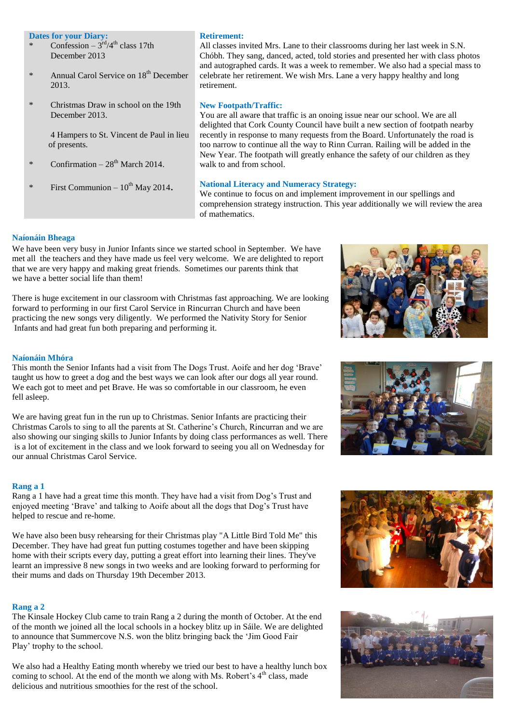**Dates for your Diary:**

- \* Confession  $3<sup>rd</sup>/4<sup>th</sup>$  class 17th December 2013
- \* Annual Carol Service on 18<sup>th</sup> December 2013.
- Christmas Draw in school on the 19th December 2013.

 4 Hampers to St. Vincent de Paul in lieu of presents.

- \* Confirmation  $-28<sup>th</sup>$  March 2014.
- \* First Communion  $-10^{th}$  May 2014.

#### **Retirement:**

All classes invited Mrs. Lane to their classrooms during her last week in S.N. Chóbh. They sang, danced, acted, told stories and presented her with class photos and autographed cards. It was a week to remember. We also had a special mass to celebrate her retirement. We wish Mrs. Lane a very happy healthy and long retirement.

#### **New Footpath/Traffic:**

You are all aware that traffic is an onoing issue near our school. We are all delighted that Cork County Council have built a new section of footpath nearby recently in response to many requests from the Board. Unfortunately the road is too narrow to continue all the way to Rinn Curran. Railing will be added in the New Year. The footpath will greatly enhance the safety of our children as they walk to and from school.

#### **National Literacy and Numeracy Strategy:**

We continue to focus on and implement improvement in our spellings and comprehension strategy instruction. This year additionally we will review the area of mathematics.

#### **Naíonáin Bheaga**

We have been very busy in Junior Infants since we started school in September. We have met all the teachers and they have made us feel very welcome. We are delighted to report that we are very happy and making great friends. Sometimes our parents think that we have a better social life than them!

There is huge excitement in our classroom with Christmas fast approaching. We are looking forward to performing in our first Carol Service in Rincurran Church and have been practicing the new songs very diligently. We performed the Nativity Story for Senior Infants and had great fun both preparing and performing it.



## **Naíonáin Mhóra**

This month the Senior Infants had a visit from The Dogs Trust. Aoife and her dog 'Brave' taught us how to greet a dog and the best ways we can look after our dogs all year round. We each got to meet and pet Brave. He was so comfortable in our classroom, he even fell asleep.

We are having great fun in the run up to Christmas. Senior Infants are practicing their Christmas Carols to sing to all the parents at St. Catherine's Church, Rincurran and we are also showing our singing skills to Junior Infants by doing class performances as well. There is a lot of excitement in the class and we look forward to seeing you all on Wednesday for our annual Christmas Carol Service.

#### **Rang a 1**

Rang a 1 have had a great time this month. They have had a visit from Dog's Trust and enjoyed meeting 'Brave' and talking to Aoife about all the dogs that Dog's Trust have helped to rescue and re-home.

We have also been busy rehearsing for their Christmas play "A Little Bird Told Me" this December. They have had great fun putting costumes together and have been skipping home with their scripts every day, putting a great effort into learning their lines. They've learnt an impressive 8 new songs in two weeks and are looking forward to performing for their mums and dads on Thursday 19th December 2013.

#### **Rang a 2**

The Kinsale Hockey Club came to train Rang a 2 during the month of October. At the end of the month we joined all the local schools in a hockey blitz up in Sáile. We are delighted to announce that Summercove N.S. won the blitz bringing back the 'Jim Good Fair Play' trophy to the school.

We also had a Healthy Eating month whereby we tried our best to have a healthy lunch box coming to school. At the end of the month we along with Ms. Robert's  $4<sup>th</sup>$  class, made delicious and nutritious smoothies for the rest of the school.